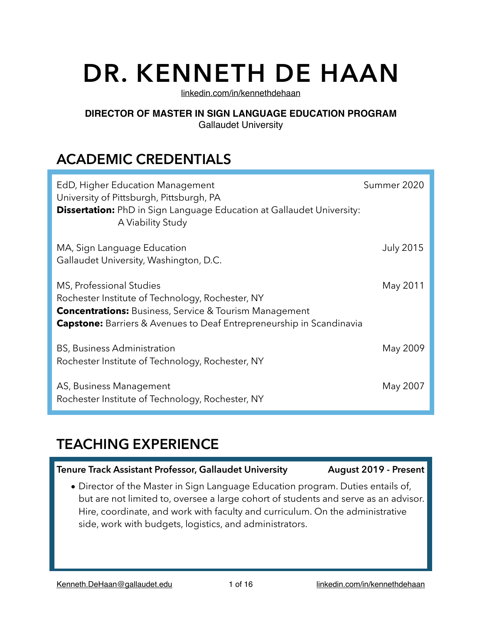# **DR. KENNETH DE HAAN**

[linkedin.com/in/kennethdehaan](http://linkedin.com/in/kennethdehaan)

#### **DIRECTOR OF MASTER IN SIGN LANGUAGE EDUCATION PROGRAM** Gallaudet University

## **ACADEMIC CREDENTIALS**

| EdD, Higher Education Management<br>University of Pittsburgh, Pittsburgh, PA<br><b>Dissertation:</b> PhD in Sign Language Education at Gallaudet University:<br>A Viability Study                                            | Summer 2020      |
|------------------------------------------------------------------------------------------------------------------------------------------------------------------------------------------------------------------------------|------------------|
| MA, Sign Language Education<br>Gallaudet University, Washington, D.C.                                                                                                                                                        | <b>July 2015</b> |
| MS, Professional Studies<br>Rochester Institute of Technology, Rochester, NY<br><b>Concentrations:</b> Business, Service & Tourism Management<br><b>Capstone:</b> Barriers & Avenues to Deaf Entrepreneurship in Scandinavia | May 2011         |
| <b>BS, Business Administration</b><br>Rochester Institute of Technology, Rochester, NY                                                                                                                                       | May 2009         |
| AS, Business Management<br>Rochester Institute of Technology, Rochester, NY                                                                                                                                                  | May 2007         |

## **TEACHING EXPERIENCE**

#### **Tenure Track Assistant Professor, Gallaudet University August 2019 - Present**

• Director of the Master in Sign Language Education program. Duties entails of, but are not limited to, oversee a large cohort of students and serve as an advisor. Hire, coordinate, and work with faculty and curriculum. On the administrative side, work with budgets, logistics, and administrators.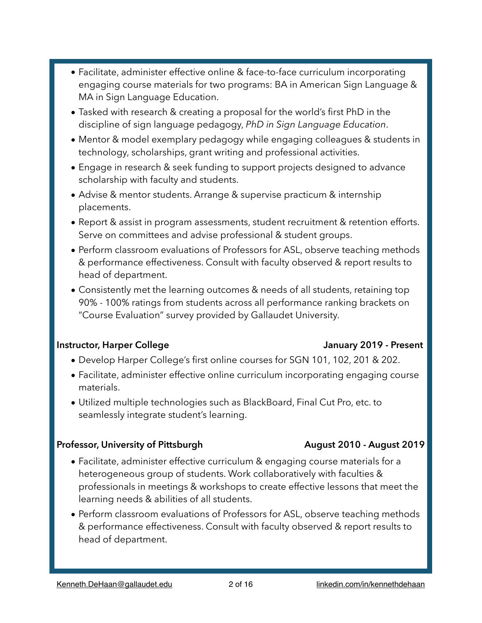• Advise & mentor students. Arrange & supervise practicum & internship placements.

technology, scholarships, grant writing and professional activities.

• Report & assist in program assessments, student recruitment & retention efforts. Serve on committees and advise professional & student groups.

• Facilitate, administer effective online & face-to-face curriculum incorporating

• Tasked with research & creating a proposal for the world's first PhD in the discipline of sign language pedagogy, *PhD in Sign Language Education*.

engaging course materials for two programs: BA in American Sign Language &

• Mentor & model exemplary pedagogy while engaging colleagues & students in

• Engage in research & seek funding to support projects designed to advance

- Perform classroom evaluations of Professors for ASL, observe teaching methods & performance effectiveness. Consult with faculty observed & report results to head of department.
- Consistently met the learning outcomes & needs of all students, retaining top 90% - 100% ratings from students across all performance ranking brackets on "Course Evaluation" survey provided by Gallaudet University.

#### **Instructor, Harper College January 2019 - Present**

MA in Sign Language Education.

scholarship with faculty and students.

- Develop Harper College's first online courses for SGN 101, 102, 201 & 202.
- Facilitate, administer effective online curriculum incorporating engaging course materials.
- Utilized multiple technologies such as BlackBoard, Final Cut Pro, etc. to seamlessly integrate student's learning.

#### Professor, University of Pittsburgh **August 2010 - August 2019**

- Facilitate, administer effective curriculum & engaging course materials for a heterogeneous group of students. Work collaboratively with faculties & professionals in meetings & workshops to create effective lessons that meet the learning needs & abilities of all students.
- Perform classroom evaluations of Professors for ASL, observe teaching methods & performance effectiveness. Consult with faculty observed & report results to head of department.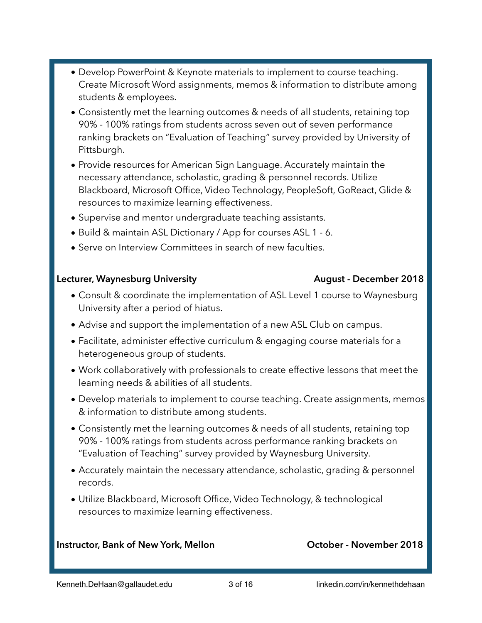- Develop PowerPoint & Keynote materials to implement to course teaching. Create Microsoft Word assignments, memos & information to distribute among students & employees.
- Consistently met the learning outcomes & needs of all students, retaining top 90% - 100% ratings from students across seven out of seven performance ranking brackets on "Evaluation of Teaching" survey provided by University of Pittsburgh.
- Provide resources for American Sign Language. Accurately maintain the necessary attendance, scholastic, grading & personnel records. Utilize Blackboard, Microsoft Office, Video Technology, PeopleSoft, GoReact, Glide & resources to maximize learning effectiveness.
- Supervise and mentor undergraduate teaching assistants.
- Build & maintain ASL Dictionary / App for courses ASL 1 6.
- Serve on Interview Committees in search of new faculties.

#### Lecturer, Waynesburg University **August - December 2018**

- Consult & coordinate the implementation of ASL Level 1 course to Waynesburg University after a period of hiatus.
- Advise and support the implementation of a new ASL Club on campus.
- Facilitate, administer effective curriculum & engaging course materials for a heterogeneous group of students.
- Work collaboratively with professionals to create effective lessons that meet the learning needs & abilities of all students.
- Develop materials to implement to course teaching. Create assignments, memos & information to distribute among students.
- Consistently met the learning outcomes & needs of all students, retaining top 90% - 100% ratings from students across performance ranking brackets on "Evaluation of Teaching" survey provided by Waynesburg University.
- Accurately maintain the necessary attendance, scholastic, grading & personnel records.
- Utilize Blackboard, Microsoft Office, Video Technology, & technological resources to maximize learning effectiveness.

#### Instructor, Bank of New York, Mellon **New York, Mellon October - November 2018**

#### [Kenneth.DeHaan@gallaudet.edu](mailto:kenneth.De.Haan@gallaudet.edu) 3 of 16 [linkedin.com/in/kennethdehaan](http://linkedin.com/in/kennethdehaan)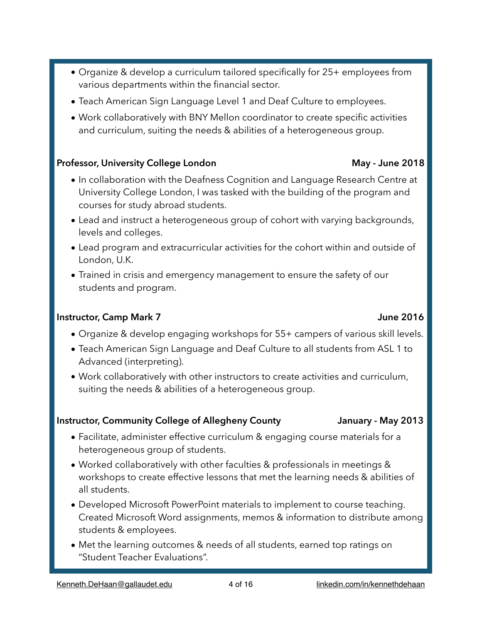- Organize & develop a curriculum tailored specifically for 25+ employees from various departments within the financial sector.
- Teach American Sign Language Level 1 and Deaf Culture to employees.
- Work collaboratively with BNY Mellon coordinator to create specific activities and curriculum, suiting the needs & abilities of a heterogeneous group.

#### Professor, University College London **May - United States 2018**

- In collaboration with the Deafness Cognition and Language Research Centre at University College London, I was tasked with the building of the program and courses for study abroad students.
- Lead and instruct a heterogeneous group of cohort with varying backgrounds, levels and colleges.
- Lead program and extracurricular activities for the cohort within and outside of London, U.K.
- Trained in crisis and emergency management to ensure the safety of our students and program.

#### **Instructor, Camp Mark 7 Instructor, Camp Mark 7**

- Organize & develop engaging workshops for 55+ campers of various skill levels.
- Teach American Sign Language and Deaf Culture to all students from ASL 1 to Advanced (interpreting).
- Work collaboratively with other instructors to create activities and curriculum, suiting the needs & abilities of a heterogeneous group.

#### **Instructor, Community College of Allegheny County January - May 2013**

- Facilitate, administer effective curriculum & engaging course materials for a heterogeneous group of students.
- Worked collaboratively with other faculties & professionals in meetings & workshops to create effective lessons that met the learning needs & abilities of all students.
- Developed Microsoft PowerPoint materials to implement to course teaching. Created Microsoft Word assignments, memos & information to distribute among students & employees.
- Met the learning outcomes & needs of all students, earned top ratings on "Student Teacher Evaluations".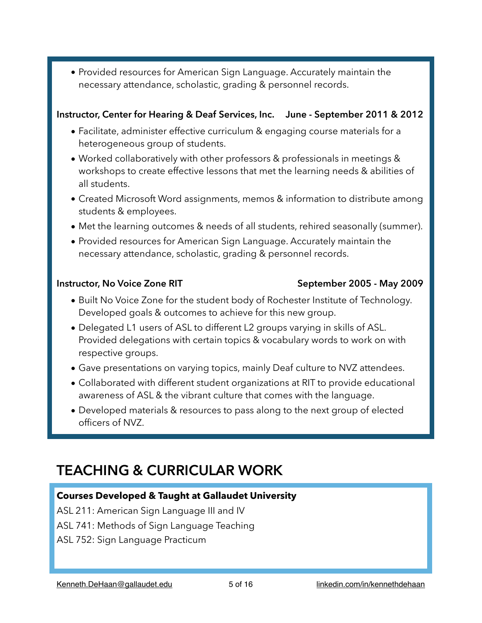• Provided resources for American Sign Language. Accurately maintain the necessary attendance, scholastic, grading & personnel records.

#### **Instructor, Center for Hearing & Deaf Services, Inc. June - September 2011 & 2012**

- Facilitate, administer effective curriculum & engaging course materials for a heterogeneous group of students.
- Worked collaboratively with other professors & professionals in meetings & workshops to create effective lessons that met the learning needs & abilities of all students.
- Created Microsoft Word assignments, memos & information to distribute among students & employees.
- Met the learning outcomes & needs of all students, rehired seasonally (summer).
- Provided resources for American Sign Language. Accurately maintain the necessary attendance, scholastic, grading & personnel records.

#### **Instructor, No Voice Zone RIT** September 2005 - May 2009

#### • Built No Voice Zone for the student body of Rochester Institute of Technology. Developed goals & outcomes to achieve for this new group.

- Delegated L1 users of ASL to different L2 groups varying in skills of ASL. Provided delegations with certain topics & vocabulary words to work on with respective groups.
- Gave presentations on varying topics, mainly Deaf culture to NVZ attendees.
- Collaborated with different student organizations at RIT to provide educational awareness of ASL & the vibrant culture that comes with the language.
- Developed materials & resources to pass along to the next group of elected officers of NVZ.

## **TEACHING & CURRICULAR WORK**

### **Courses Developed & Taught at Gallaudet University**

ASL 211: American Sign Language III and IV

- ASL 741: Methods of Sign Language Teaching
- ASL 752: Sign Language Practicum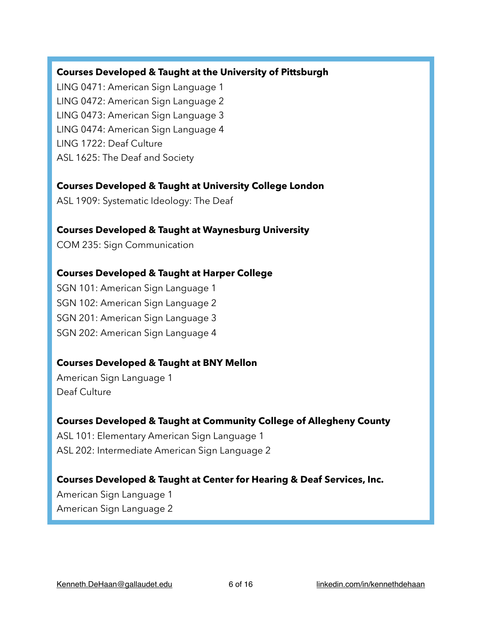#### **Courses Developed & Taught at the University of Pittsburgh**

LING 0471: American Sign Language 1 LING 0472: American Sign Language 2 LING 0473: American Sign Language 3 LING 0474: American Sign Language 4 LING 1722: Deaf Culture ASL 1625: The Deaf and Society

#### **Courses Developed & Taught at University College London**

ASL 1909: Systematic Ideology: The Deaf

#### **Courses Developed & Taught at Waynesburg University**

COM 235: Sign Communication

#### **Courses Developed & Taught at Harper College**

SGN 101: American Sign Language 1 SGN 102: American Sign Language 2 SGN 201: American Sign Language 3 SGN 202: American Sign Language 4

### **Courses Developed & Taught at BNY Mellon**

American Sign Language 1 Deaf Culture

#### **Courses Developed & Taught at Community College of Allegheny County**

ASL 101: Elementary American Sign Language 1 ASL 202: Intermediate American Sign Language 2

#### **Courses Developed & Taught at Center for Hearing & Deaf Services, Inc.**

American Sign Language 1 American Sign Language 2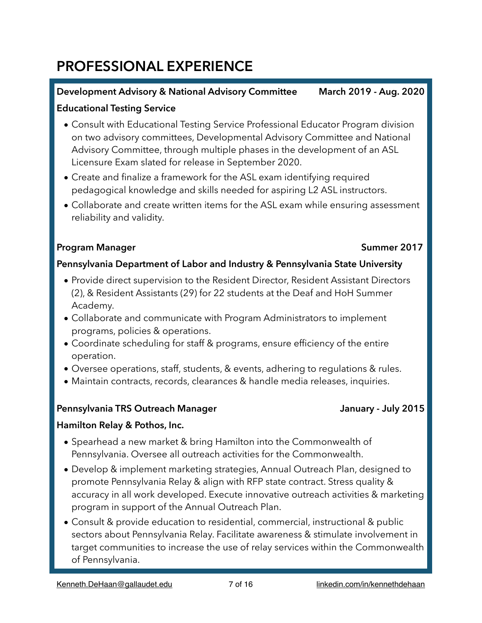## **PROFESSIONAL EXPERIENCE**

### **Development Advisory & National Advisory Committee March 2019 - Aug. 2020**

### **Educational Testing Service**

- Consult with Educational Testing Service Professional Educator Program division on two advisory committees, Developmental Advisory Committee and National Advisory Committee, through multiple phases in the development of an ASL Licensure Exam slated for release in September 2020.
- Create and finalize a framework for the ASL exam identifying required pedagogical knowledge and skills needed for aspiring L2 ASL instructors.
- Collaborate and create written items for the ASL exam while ensuring assessment reliability and validity.

### **Program Manager Summer 2017**

### **Pennsylvania Department of Labor and Industry & Pennsylvania State University**

- Provide direct supervision to the Resident Director, Resident Assistant Directors (2), & Resident Assistants (29) for 22 students at the Deaf and HoH Summer Academy.
- Collaborate and communicate with Program Administrators to implement programs, policies & operations.
- Coordinate scheduling for staff & programs, ensure efficiency of the entire operation.
- Oversee operations, staff, students, & events, adhering to regulations & rules.
- Maintain contracts, records, clearances & handle media releases, inquiries.

### Pennsylvania TRS Outreach Manager **July 2015** January - July 2015

### **Hamilton Relay & Pothos, Inc.**

- Spearhead a new market & bring Hamilton into the Commonwealth of Pennsylvania. Oversee all outreach activities for the Commonwealth.
- Develop & implement marketing strategies, Annual Outreach Plan, designed to promote Pennsylvania Relay & align with RFP state contract. Stress quality & accuracy in all work developed. Execute innovative outreach activities & marketing program in support of the Annual Outreach Plan.
- Consult & provide education to residential, commercial, instructional & public sectors about Pennsylvania Relay. Facilitate awareness & stimulate involvement in target communities to increase the use of relay services within the Commonwealth of Pennsylvania.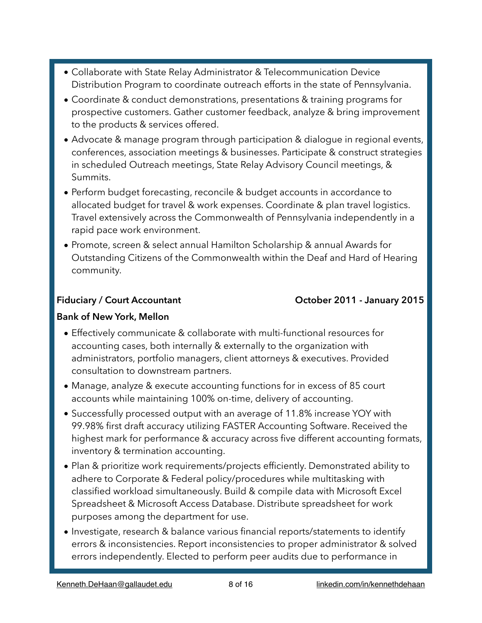- Collaborate with State Relay Administrator & Telecommunication Device Distribution Program to coordinate outreach efforts in the state of Pennsylvania.
- Coordinate & conduct demonstrations, presentations & training programs for prospective customers. Gather customer feedback, analyze & bring improvement to the products & services offered.
- Advocate & manage program through participation & dialogue in regional events, conferences, association meetings & businesses. Participate & construct strategies in scheduled Outreach meetings, State Relay Advisory Council meetings, & Summits.
- Perform budget forecasting, reconcile & budget accounts in accordance to allocated budget for travel & work expenses. Coordinate & plan travel logistics. Travel extensively across the Commonwealth of Pennsylvania independently in a rapid pace work environment.
- Promote, screen & select annual Hamilton Scholarship & annual Awards for Outstanding Citizens of the Commonwealth within the Deaf and Hard of Hearing community.

### Fiduciary / Court Accountant **Counter Countains Counting County 2015**

#### **Bank of New York, Mellon**

- Effectively communicate & collaborate with multi-functional resources for accounting cases, both internally & externally to the organization with administrators, portfolio managers, client attorneys & executives. Provided consultation to downstream partners.
- Manage, analyze & execute accounting functions for in excess of 85 court accounts while maintaining 100% on-time, delivery of accounting.
- Successfully processed output with an average of 11.8% increase YOY with 99.98% first draft accuracy utilizing FASTER Accounting Software. Received the highest mark for performance & accuracy across five different accounting formats, inventory & termination accounting.
- Plan & prioritize work requirements/projects efficiently. Demonstrated ability to adhere to Corporate & Federal policy/procedures while multitasking with classified workload simultaneously. Build & compile data with Microsoft Excel Spreadsheet & Microsoft Access Database. Distribute spreadsheet for work purposes among the department for use.
- Investigate, research & balance various financial reports/statements to identify errors & inconsistencies. Report inconsistencies to proper administrator & solved errors independently. Elected to perform peer audits due to performance in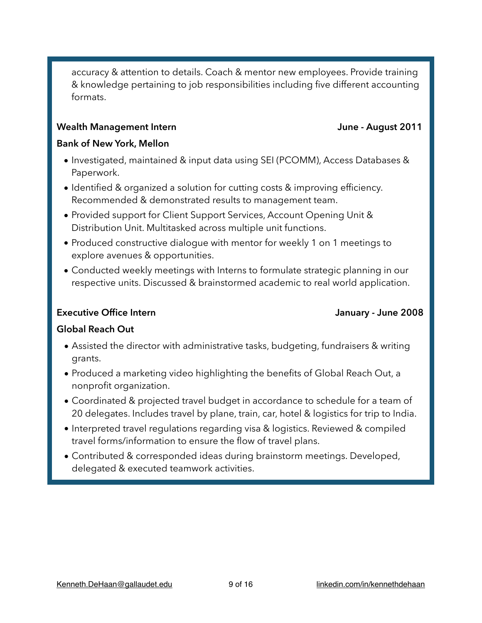accuracy & attention to details. Coach & mentor new employees. Provide training & knowledge pertaining to job responsibilities including five different accounting formats.

#### Wealth Management Intern **Wealth Management Intern June - August 2011**

#### **Bank of New York, Mellon**

- Investigated, maintained & input data using SEI (PCOMM), Access Databases & Paperwork.
- Identified & organized a solution for cutting costs & improving efficiency. Recommended & demonstrated results to management team.
- Provided support for Client Support Services, Account Opening Unit & Distribution Unit. Multitasked across multiple unit functions.
- Produced constructive dialogue with mentor for weekly 1 on 1 meetings to explore avenues & opportunities.
- Conducted weekly meetings with Interns to formulate strategic planning in our respective units. Discussed & brainstormed academic to real world application.

#### **Executive Office Intern Contract Contract Contract Contract Contract Contract Contract Contract Contract Contract Contract Contract Contract Contract Contract Contract Contract Contract Contract Contract Contract Contract**

#### **Global Reach Out**

- Assisted the director with administrative tasks, budgeting, fundraisers & writing grants.
- Produced a marketing video highlighting the benefits of Global Reach Out, a nonprofit organization.
- Coordinated & projected travel budget in accordance to schedule for a team of 20 delegates. Includes travel by plane, train, car, hotel & logistics for trip to India.
- Interpreted travel regulations regarding visa & logistics. Reviewed & compiled travel forms/information to ensure the flow of travel plans.
- Contributed & corresponded ideas during brainstorm meetings. Developed, delegated & executed teamwork activities.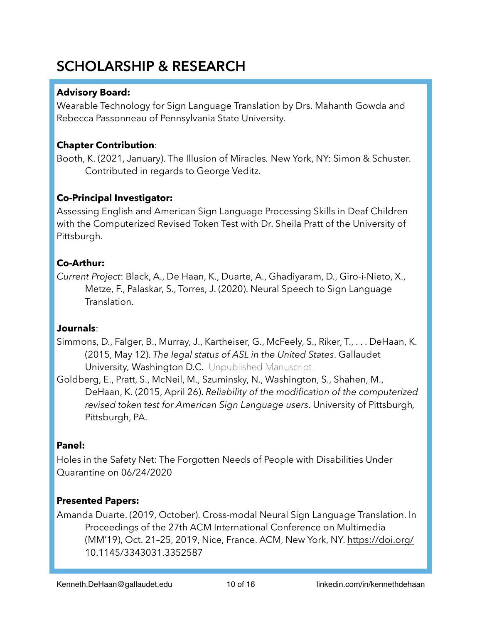## **SCHOLARSHIP & RESEARCH**

### **Advisory Board:**

Wearable Technology for Sign Language Translation by Drs. Mahanth Gowda and Rebecca Passonneau of Pennsylvania State University.

### **Chapter Contribution**:

Booth, K. (2021, January). The Illusion of Miracles*.* New York, NY: Simon & Schuster. Contributed in regards to George Veditz.

### **Co-Principal Investigator:**

Assessing English and American Sign Language Processing Skills in Deaf Children with the Computerized Revised Token Test with Dr. Sheila Pratt of the University of Pittsburgh.

### **Co-Arthur:**

*Current Project*: Black, A., De Haan, K., Duarte, A., Ghadiyaram, D., Giro-i-Nieto, X., Metze, F., Palaskar, S., Torres, J. (2020). Neural Speech to Sign Language Translation.

#### **Journals**:

Simmons, D., Falger, B., Murray, J., Kartheiser, G., McFeely, S., Riker, T., . . . DeHaan, K. (2015, May 12). *The legal status of ASL in the United States*. Gallaudet University*,* Washington D.C. Unpublished Manuscript.

Goldberg, E., Pratt, S., McNeil, M., Szuminsky, N., Washington, S., Shahen, M., DeHaan, K. (2015, April 26). *Reliability of the modification of the computerized revised token test for American Sign Language users*. University of Pittsburgh*,*  Pittsburgh, PA.

### **Panel:**

Holes in the Safety Net: The Forgotten Needs of People with Disabilities Under Quarantine on 06/24/2020

### **Presented Papers:**

Amanda Duarte. (2019, October). Cross-modal Neural Sign Language Translation. In Proceedings of the 27th ACM International Conference on Multimedia (MM'19), Oct. 21–25, 2019, Nice, France. ACM, New York, NY.<https://doi.org/> 10.1145/3343031.3352587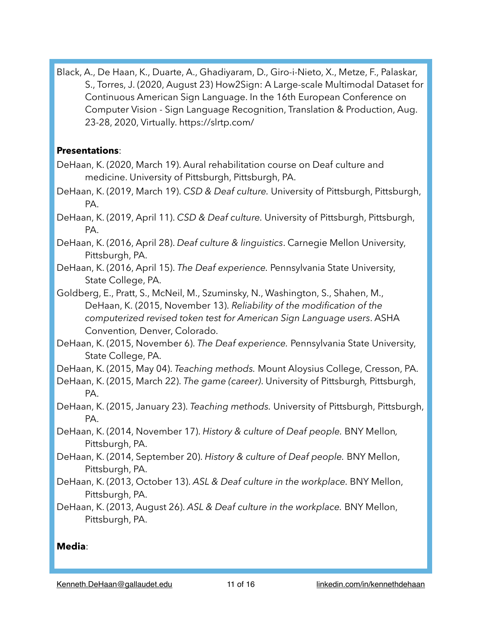Black, A., De Haan, K., Duarte, A., Ghadiyaram, D., Giro-i-Nieto, X., Metze, F., Palaskar, S., Torres, J. (2020, August 23) How2Sign: A Large-scale Multimodal Dataset for Continuous American Sign Language. In the 16th European Conference on Computer Vision - Sign Language Recognition, Translation & Production, Aug. 23-28, 2020, Virtually. https://slrtp.com/

#### **Presentations**:

- DeHaan, K. (2020, March 19). Aural rehabilitation course on Deaf culture and medicine. University of Pittsburgh, Pittsburgh, PA.
- DeHaan, K. (2019, March 19). *CSD & Deaf culture.* University of Pittsburgh, Pittsburgh, PA.
- DeHaan, K. (2019, April 11). *CSD & Deaf culture.* University of Pittsburgh, Pittsburgh, PA.
- DeHaan, K. (2016, April 28). *Deaf culture & linguistics*. Carnegie Mellon University, Pittsburgh, PA.
- DeHaan, K. (2016, April 15). *The Deaf experience.* Pennsylvania State University, State College, PA.
- Goldberg, E., Pratt, S., McNeil, M., Szuminsky, N., Washington, S., Shahen, M., DeHaan, K. (2015, November 13). *Reliability of the modification of the computerized revised token test for American Sign Language users*. ASHA Convention*,* Denver, Colorado.
- DeHaan, K. (2015, November 6). *The Deaf experience.* Pennsylvania State University, State College, PA.
- DeHaan, K. (2015, May 04). *Teaching methods.* Mount Aloysius College, Cresson, PA.
- DeHaan, K. (2015, March 22). *The game (career)*. University of Pittsburgh*,* Pittsburgh, PA.
- DeHaan, K. (2015, January 23). *Teaching methods.* University of Pittsburgh, Pittsburgh, PA.
- DeHaan, K. (2014, November 17). *History & culture of Deaf people.* BNY Mellon*,*  Pittsburgh, PA.
- DeHaan, K. (2014, September 20). *History & culture of Deaf people.* BNY Mellon, Pittsburgh, PA.
- DeHaan, K. (2013, October 13). *ASL & Deaf culture in the workplace.* BNY Mellon, Pittsburgh, PA.
- DeHaan, K. (2013, August 26). *ASL & Deaf culture in the workplace.* BNY Mellon, Pittsburgh, PA.

#### **Media**: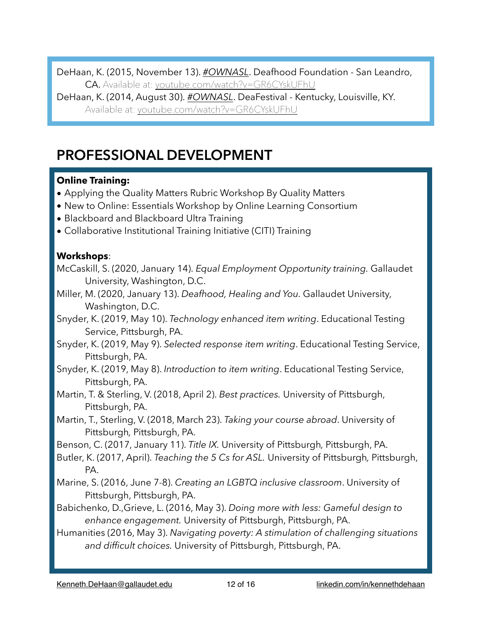DeHaan, K. (2015, November 13). *#OWNASL*. Deafhood Foundation - San Leandro, CA. Available at: [youtube.com/watch?v=GR6CYskUFhU](http://youtube.com/watch?v=GR6CYskUFhU)

DeHaan, K. (2014, August 30). *[#OWNASL](http://youtube.com/watch?v=GR6CYskUFhU)*. DeaFestival - Kentucky, Louisville, KY. Available at: [youtube.com/watch?v=GR6CYskUFhU](http://youtube.com/watch?v=GR6CYskUFhU)

## **PROFESSIONAL DEVELOPMENT**

### **Online Training:**

- Applying the Quality Matters Rubric Workshop By Quality Matters
- New to Online: Essentials Workshop by Online Learning Consortium
- Blackboard and Blackboard Ultra Training
- Collaborative Institutional Training Initiative (CITI) Training

### **Workshops**:

- McCaskill, S. (2020, January 14). *Equal Employment Opportunity training.* Gallaudet University, Washington, D.C.
- Miller, M. (2020, January 13). *Deafhood, Healing and You.* Gallaudet University, Washington, D.C.
- Snyder, K. (2019, May 10). *Technology enhanced item writing*. Educational Testing Service, Pittsburgh, PA.
- Snyder, K. (2019, May 9). *Selected response item writing*. Educational Testing Service, Pittsburgh, PA.
- Snyder, K. (2019, May 8). *Introduction to item writing*. Educational Testing Service, Pittsburgh, PA.
- Martin, T. & Sterling, V. (2018, April 2). *Best practices.* University of Pittsburgh, Pittsburgh, PA.
- Martin, T., Sterling, V. (2018, March 23). *Taking your course abroad*. University of Pittsburgh*,* Pittsburgh, PA.
- Benson, C. (2017, January 11). *Title IX.* University of Pittsburgh*,* Pittsburgh, PA.
- Butler, K. (2017, April). *Teaching the 5 Cs for ASL.* University of Pittsburgh*,* Pittsburgh, PA.
- Marine, S. (2016, June 7-8). *Creating an LGBTQ inclusive classroom*. University of Pittsburgh, Pittsburgh, PA.
- Babichenko, D.,Grieve, L. (2016, May 3). *Doing more with less: Gameful design to enhance engagement.* University of Pittsburgh, Pittsburgh, PA.
- Humanities (2016, May 3). *Navigating poverty: A stimulation of challenging situations and difficult choices.* University of Pittsburgh, Pittsburgh, PA.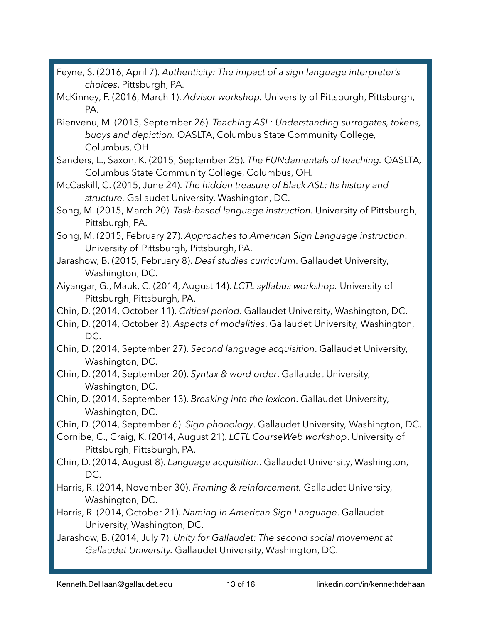- Feyne, S. (2016, April 7). *Authenticity: The impact of a sign language interpreter's choices*. Pittsburgh, PA.
- McKinney, F. (2016, March 1). *Advisor workshop.* University of Pittsburgh, Pittsburgh, PA.
- Bienvenu, M. (2015, September 26). *Teaching ASL: Understanding surrogates, tokens, buoys and depiction.* OASLTA, Columbus State Community College*,*  Columbus, OH.
- Sanders, L., Saxon, K. (2015, September 25). *The FUNdamentals of teaching.* OASLTA*,*  Columbus State Community College, Columbus, OH*.*
- McCaskill, C. (2015, June 24). *The hidden treasure of Black ASL: Its history and structure.* Gallaudet University, Washington, DC.
- Song, M. (2015, March 20). *Task-based language instruction.* University of Pittsburgh, Pittsburgh, PA.
- Song, M. (2015, February 27). *Approaches to American Sign Language instruction*. University of Pittsburgh*,* Pittsburgh, PA.
- Jarashow, B. (2015, February 8). *Deaf studies curriculum*. Gallaudet University, Washington, DC.
- Aiyangar, G., Mauk, C. (2014, August 14). *LCTL syllabus workshop.* University of Pittsburgh, Pittsburgh, PA.
- Chin, D. (2014, October 11). *Critical period*. Gallaudet University, Washington, DC.
- Chin, D. (2014, October 3). *Aspects of modalities*. Gallaudet University, Washington, DC.
- Chin, D. (2014, September 27). *Second language acquisition*. Gallaudet University, Washington, DC.
- Chin, D. (2014, September 20). *Syntax & word order*. Gallaudet University*,*  Washington, DC.
- Chin, D. (2014, September 13). *Breaking into the lexicon*. Gallaudet University, Washington, DC.
- Chin, D. (2014, September 6). *Sign phonology*. Gallaudet University*,* Washington, DC.
- Cornibe, C., Craig, K. (2014, August 21). *LCTL CourseWeb workshop*. University of Pittsburgh, Pittsburgh, PA.
- Chin, D. (2014, August 8). *Language acquisition*. Gallaudet University, Washington, DC.
- Harris, R. (2014, November 30). *Framing & reinforcement.* Gallaudet University, Washington, DC.
- Harris, R. (2014, October 21). *Naming in American Sign Language*. Gallaudet University, Washington, DC.
- Jarashow, B. (2014, July 7). *Unity for Gallaudet: The second social movement at Gallaudet University.* Gallaudet University, Washington, DC.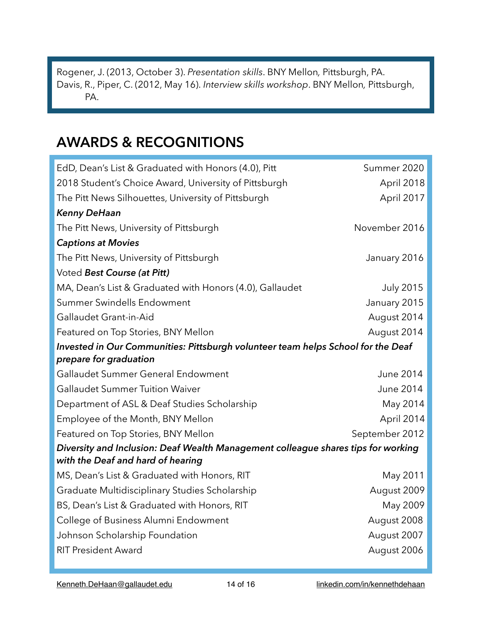Rogener, J. (2013, October 3). *Presentation skills*. BNY Mellon*,* Pittsburgh, PA. Davis, R., Piper, C. (2012, May 16). *Interview skills workshop*. BNY Mellon*,* Pittsburgh, PA.

## **AWARDS & RECOGNITIONS**

| EdD, Dean's List & Graduated with Honors (4.0), Pitt                              | Summer 2020      |  |  |
|-----------------------------------------------------------------------------------|------------------|--|--|
| 2018 Student's Choice Award, University of Pittsburgh                             | April 2018       |  |  |
| The Pitt News Silhouettes, University of Pittsburgh                               | April 2017       |  |  |
| <b>Kenny DeHaan</b>                                                               |                  |  |  |
| The Pitt News, University of Pittsburgh                                           | November 2016    |  |  |
| <b>Captions at Movies</b>                                                         |                  |  |  |
| The Pitt News, University of Pittsburgh                                           | January 2016     |  |  |
| Voted Best Course (at Pitt)                                                       |                  |  |  |
| MA, Dean's List & Graduated with Honors (4.0), Gallaudet                          | <b>July 2015</b> |  |  |
| <b>Summer Swindells Endowment</b>                                                 | January 2015     |  |  |
| Gallaudet Grant-in-Aid                                                            | August 2014      |  |  |
| Featured on Top Stories, BNY Mellon                                               | August 2014      |  |  |
| Invested in Our Communities: Pittsburgh volunteer team helps School for the Deaf  |                  |  |  |
| prepare for graduation                                                            |                  |  |  |
| Gallaudet Summer General Endowment                                                | <b>June 2014</b> |  |  |
| <b>Gallaudet Summer Tuition Waiver</b>                                            | <b>June 2014</b> |  |  |
| Department of ASL & Deaf Studies Scholarship                                      | May 2014         |  |  |
| Employee of the Month, BNY Mellon                                                 | April 2014       |  |  |
| Featured on Top Stories, BNY Mellon                                               | September 2012   |  |  |
| Diversity and Inclusion: Deaf Wealth Management colleague shares tips for working |                  |  |  |
| with the Deaf and hard of hearing                                                 |                  |  |  |
| MS, Dean's List & Graduated with Honors, RIT                                      | May 2011         |  |  |
| Graduate Multidisciplinary Studies Scholarship                                    | August 2009      |  |  |
| BS, Dean's List & Graduated with Honors, RIT                                      | May 2009         |  |  |
| College of Business Alumni Endowment                                              | August 2008      |  |  |
| Johnson Scholarship Foundation                                                    | August 2007      |  |  |
| <b>RIT President Award</b>                                                        | August 2006      |  |  |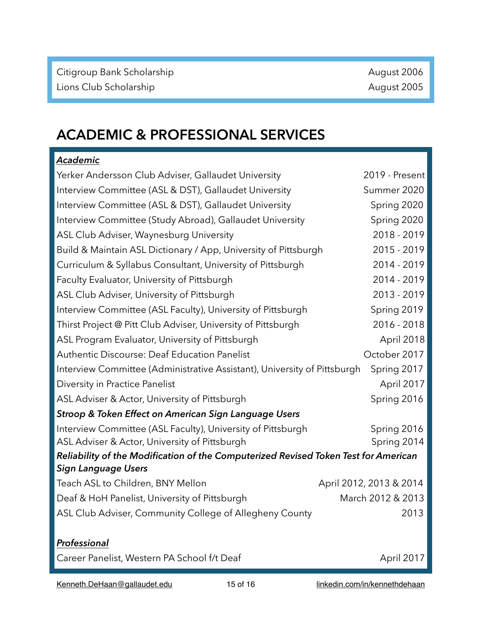## **ACADEMIC & PROFESSIONAL SERVICES**

| Academic                                                                            |                         |  |  |  |
|-------------------------------------------------------------------------------------|-------------------------|--|--|--|
| Yerker Andersson Club Adviser, Gallaudet University                                 | 2019 - Present          |  |  |  |
| Interview Committee (ASL & DST), Gallaudet University                               | Summer 2020             |  |  |  |
| Interview Committee (ASL & DST), Gallaudet University                               | Spring 2020             |  |  |  |
| Interview Committee (Study Abroad), Gallaudet University                            | Spring 2020             |  |  |  |
| ASL Club Adviser, Waynesburg University                                             | 2018 - 2019             |  |  |  |
| Build & Maintain ASL Dictionary / App, University of Pittsburgh                     | 2015 - 2019             |  |  |  |
| Curriculum & Syllabus Consultant, University of Pittsburgh                          | 2014 - 2019             |  |  |  |
| Faculty Evaluator, University of Pittsburgh                                         | 2014 - 2019             |  |  |  |
| ASL Club Adviser, University of Pittsburgh                                          | 2013 - 2019             |  |  |  |
| Interview Committee (ASL Faculty), University of Pittsburgh                         | Spring 2019             |  |  |  |
| Thirst Project @ Pitt Club Adviser, University of Pittsburgh                        | 2016 - 2018             |  |  |  |
| ASL Program Evaluator, University of Pittsburgh                                     | April 2018              |  |  |  |
| <b>Authentic Discourse: Deaf Education Panelist</b>                                 | October 2017            |  |  |  |
| Interview Committee (Administrative Assistant), University of Pittsburgh            | Spring 2017             |  |  |  |
| Diversity in Practice Panelist                                                      | April 2017              |  |  |  |
| ASL Adviser & Actor, University of Pittsburgh                                       | Spring 2016             |  |  |  |
| Stroop & Token Effect on American Sign Language Users                               |                         |  |  |  |
| Interview Committee (ASL Faculty), University of Pittsburgh                         | Spring 2016             |  |  |  |
| ASL Adviser & Actor, University of Pittsburgh                                       | Spring 2014             |  |  |  |
| Reliability of the Modification of the Computerized Revised Token Test for American |                         |  |  |  |
| <b>Sign Language Users</b>                                                          |                         |  |  |  |
| Teach ASL to Children, BNY Mellon                                                   | April 2012, 2013 & 2014 |  |  |  |
| Deaf & HoH Panelist, University of Pittsburgh                                       | March 2012 & 2013       |  |  |  |
| ASL Club Adviser, Community College of Allegheny County                             | 2013                    |  |  |  |
|                                                                                     |                         |  |  |  |
| Professional                                                                        |                         |  |  |  |
| Career Panelist, Western PA School f/t Deaf                                         | April 2017              |  |  |  |